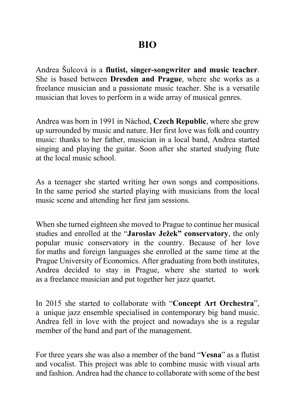Andrea Šulcová is a **flutist, singer-songwriter and music teacher**. She is based between **Dresden and Prague**, where she works as a freelance musician and a passionate music teacher. She is a versatile musician that loves to perform in a wide array of musical genres.

Andrea was born in 1991 in Náchod, **Czech Republic**, where she grew up surrounded by music and nature. Her first love was folk and country music: thanks to her father, musician in a local band, Andrea started singing and playing the guitar. Soon after she started studying flute at the local music school.

As a teenager she started writing her own songs and compositions. In the same period she started playing with musicians from the local music scene and attending her first jam sessions.

When she turned eighteen she moved to Prague to continue her musical studies and enrolled at the "**Jaroslav Ježek" conservatory**, the only popular music conservatory in the country. Because of her love for maths and foreign languages she enrolled at the same time at the Prague University of Economics. After graduating from both institutes, Andrea decided to stay in Prague, where she started to work as a freelance musician and put together her jazz quartet.

In 2015 she started to collaborate with "**Concept Art Orchestra**", a unique jazz ensemble specialised in contemporary big band music. Andrea fell in love with the project and nowadays she is a regular member of the band and part of the management.

For three years she was also a member of the band "**Vesna**" as a flutist and vocalist. This project was able to combine music with visual arts and fashion. Andrea had the chance to collaborate with some of the best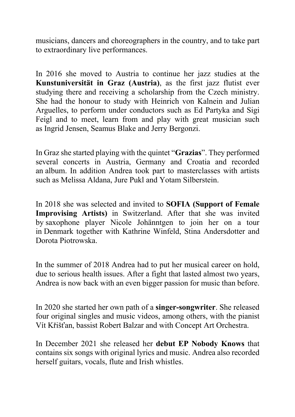musicians, dancers and choreographers in the country, and to take part to extraordinary live performances.

In 2016 she moved to Austria to continue her jazz studies at the **Kunstuniversität in Graz (Austria)**, as the first jazz flutist ever studying there and receiving a scholarship from the Czech ministry. She had the honour to study with Heinrich von Kalnein and Julian Arguelles, to perform under conductors such as Ed Partyka and Sigi Feigl and to meet, learn from and play with great musician such as Ingrid Jensen, Seamus Blake and Jerry Bergonzi.

In Graz she started playing with the quintet "**Grazias**". They performed several concerts in Austria, Germany and Croatia and recorded an album. In addition Andrea took part to masterclasses with artists such as Melissa Aldana, Jure Pukl and Yotam Silberstein.

In 2018 she was selected and invited to **SOFIA (Support of Female Improvising Artists)** in Switzerland. After that she was invited by saxophone player Nicole Johänntgen to join her on a tour in Denmark together with Kathrine Winfeld, Stina Andersdotter and Dorota Piotrowska.

In the summer of 2018 Andrea had to put her musical career on hold, due to serious health issues. After a fight that lasted almost two years, Andrea is now back with an even bigger passion for music than before.

In 2020 she started her own path of a **singer-songwriter**. She released four original singles and music videos, among others, with the pianist Vít Křišťan, bassist Robert Balzar and with Concept Art Orchestra.

In December 2021 she released her **debut EP Nobody Knows** that contains six songs with original lyrics and music. Andrea also recorded herself guitars, vocals, flute and Irish whistles.